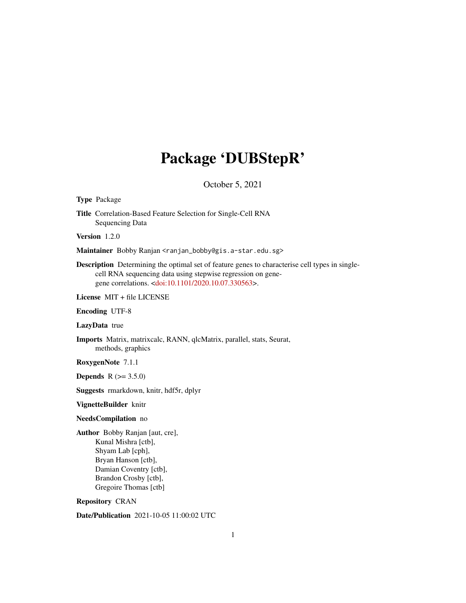# Package 'DUBStepR'

October 5, 2021

#### Type Package

Title Correlation-Based Feature Selection for Single-Cell RNA Sequencing Data

Version 1.2.0

Maintainer Bobby Ranjan <ranjan\_bobby@gis.a-star.edu.sg>

Description Determining the optimal set of feature genes to characterise cell types in singlecell RNA sequencing data using stepwise regression on genegene correlations. [<doi:10.1101/2020.10.07.330563>](https://doi.org/10.1101/2020.10.07.330563).

License MIT + file LICENSE

Encoding UTF-8

LazyData true

Imports Matrix, matrixcalc, RANN, qlcMatrix, parallel, stats, Seurat, methods, graphics

RoxygenNote 7.1.1

**Depends** R  $(>= 3.5.0)$ 

Suggests rmarkdown, knitr, hdf5r, dplyr

VignetteBuilder knitr

#### NeedsCompilation no

Author Bobby Ranjan [aut, cre], Kunal Mishra [ctb], Shyam Lab [cph], Bryan Hanson [ctb], Damian Coventry [ctb], Brandon Crosby [ctb], Gregoire Thomas [ctb]

Repository CRAN

Date/Publication 2021-10-05 11:00:02 UTC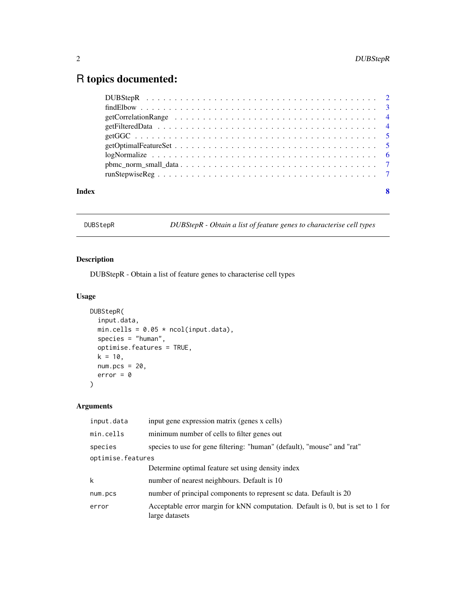# <span id="page-1-0"></span>R topics documented:

| Index | 8 |  |
|-------|---|--|

DUBStepR *DUBStepR - Obtain a list of feature genes to characterise cell types*

# Description

DUBStepR - Obtain a list of feature genes to characterise cell types

#### Usage

```
DUBStepR(
 input.data,
 min.cells = 0.05 * \text{ncol}(\text{input.data}),
 species = "human",
 optimise.features = TRUE,
 k = 10,
 num.pcs = 20,
 error = \theta)
```
# Arguments

| input gene expression matrix (genes x cells)                                                     |  |  |
|--------------------------------------------------------------------------------------------------|--|--|
| minimum number of cells to filter genes out                                                      |  |  |
| species to use for gene filtering: "human" (default), "mouse" and "rat"                          |  |  |
| optimise.features                                                                                |  |  |
| Determine optimal feature set using density index                                                |  |  |
| number of nearest neighbours. Default is 10                                                      |  |  |
| number of principal components to represent sc data. Default is 20                               |  |  |
| Acceptable error margin for kNN computation. Default is 0, but is set to 1 for<br>large datasets |  |  |
|                                                                                                  |  |  |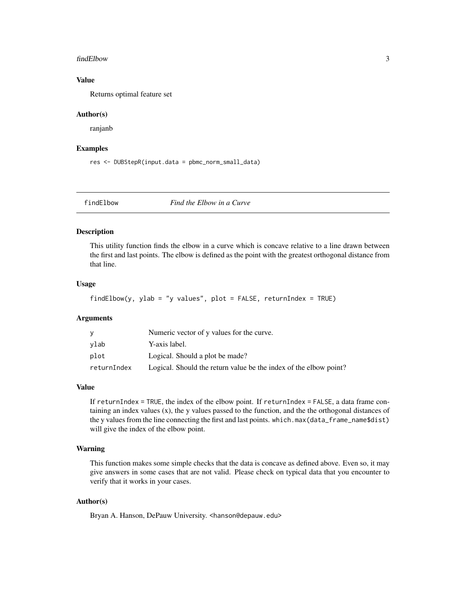#### <span id="page-2-0"></span>findElbow 3

#### Value

Returns optimal feature set

#### Author(s)

ranjanb

#### Examples

res <- DUBStepR(input.data = pbmc\_norm\_small\_data)

findElbow *Find the Elbow in a Curve*

#### Description

This utility function finds the elbow in a curve which is concave relative to a line drawn between the first and last points. The elbow is defined as the point with the greatest orthogonal distance from that line.

#### Usage

```
findElbow(y, ylab = "y values", plot = FALSE, returnIndex = TRUE)
```
#### Arguments

|             | Numeric vector of y values for the curve.                         |
|-------------|-------------------------------------------------------------------|
| vlab        | Y-axis label.                                                     |
| plot        | Logical. Should a plot be made?                                   |
| returnIndex | Logical. Should the return value be the index of the elbow point? |

#### Value

If returnIndex = TRUE, the index of the elbow point. If returnIndex = FALSE, a data frame containing an index values  $(x)$ , the y values passed to the function, and the the orthogonal distances of the y values from the line connecting the first and last points. which.max(data\_frame\_name\$dist) will give the index of the elbow point.

#### Warning

This function makes some simple checks that the data is concave as defined above. Even so, it may give answers in some cases that are not valid. Please check on typical data that you encounter to verify that it works in your cases.

#### Author(s)

Bryan A. Hanson, DePauw University. <hanson@depauw.edu>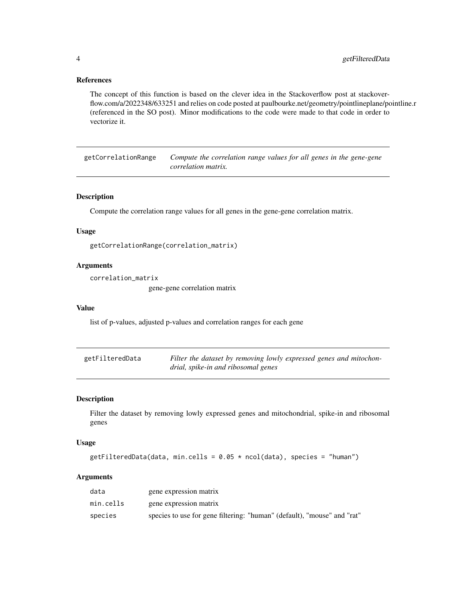#### <span id="page-3-0"></span>References

The concept of this function is based on the clever idea in the Stackoverflow post at stackoverflow.com/a/2022348/633251 and relies on code posted at paulbourke.net/geometry/pointlineplane/pointline.r (referenced in the SO post). Minor modifications to the code were made to that code in order to vectorize it.

getCorrelationRange *Compute the correlation range values for all genes in the gene-gene correlation matrix.*

#### Description

Compute the correlation range values for all genes in the gene-gene correlation matrix.

#### Usage

```
getCorrelationRange(correlation_matrix)
```
#### Arguments

correlation\_matrix

gene-gene correlation matrix

#### Value

list of p-values, adjusted p-values and correlation ranges for each gene

| getFilteredData | Filter the dataset by removing lowly expressed genes and mitochon- |
|-----------------|--------------------------------------------------------------------|
|                 | drial, spike-in and ribosomal genes                                |

#### Description

Filter the dataset by removing lowly expressed genes and mitochondrial, spike-in and ribosomal genes

#### Usage

getFilteredData(data, min.cells =  $0.05 \times \text{ncol}(data)$ , species = "human")

#### Arguments

| data      | gene expression matrix                                                  |
|-----------|-------------------------------------------------------------------------|
| min.cells | gene expression matrix                                                  |
| species   | species to use for gene filtering: "human" (default), "mouse" and "rat" |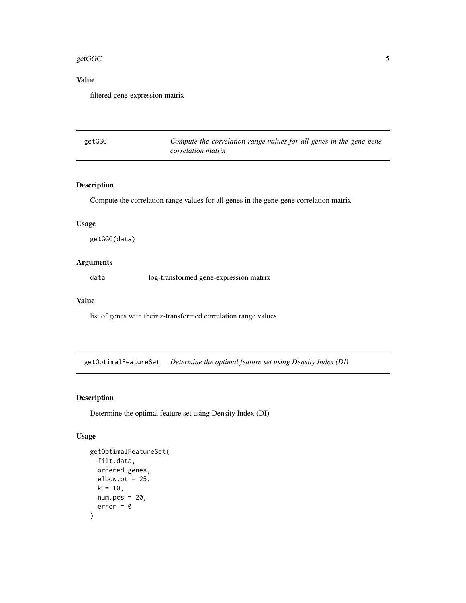#### <span id="page-4-0"></span> $g$ etGGC  $\overline{\phantom{a}}$  5

## Value

filtered gene-expression matrix

| getGGC | Compute the correlation range values for all genes in the gene-gene |
|--------|---------------------------------------------------------------------|
|        | <i>correlation matrix</i>                                           |

## Description

Compute the correlation range values for all genes in the gene-gene correlation matrix

#### Usage

getGGC(data)

#### Arguments

data log-transformed gene-expression matrix

#### Value

list of genes with their z-transformed correlation range values

getOptimalFeatureSet *Determine the optimal feature set using Density Index (DI)*

#### Description

Determine the optimal feature set using Density Index (DI)

#### Usage

```
getOptimalFeatureSet(
 filt.data,
 ordered.genes,
elbow.pt = 25,
k = 10,
num.pcs = 20,
 error = \theta)
```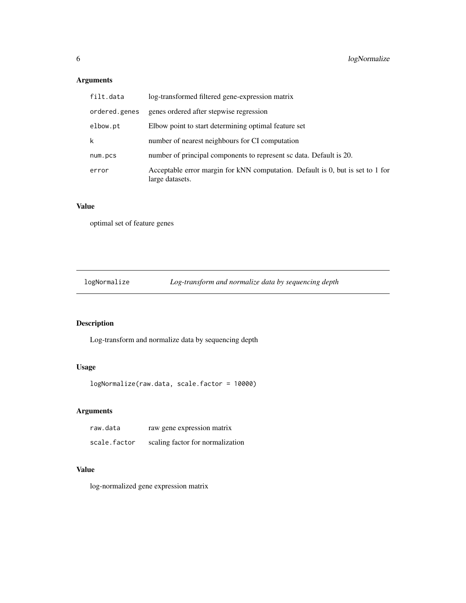# <span id="page-5-0"></span>Arguments

| filt.data     | log-transformed filtered gene-expression matrix                                                   |
|---------------|---------------------------------------------------------------------------------------------------|
| ordered.genes | genes ordered after stepwise regression                                                           |
| elbow.pt      | Elbow point to start determining optimal feature set                                              |
| k             | number of nearest neighbours for CI computation                                                   |
| num.pcs       | number of principal components to represent sc data. Default is 20.                               |
| error         | Acceptable error margin for kNN computation. Default is 0, but is set to 1 for<br>large datasets. |

#### Value

optimal set of feature genes

logNormalize *Log-transform and normalize data by sequencing depth*

# Description

Log-transform and normalize data by sequencing depth

#### Usage

```
logNormalize(raw.data, scale.factor = 10000)
```
### Arguments

| raw.data     | raw gene expression matrix       |
|--------------|----------------------------------|
| scale.factor | scaling factor for normalization |

# Value

log-normalized gene expression matrix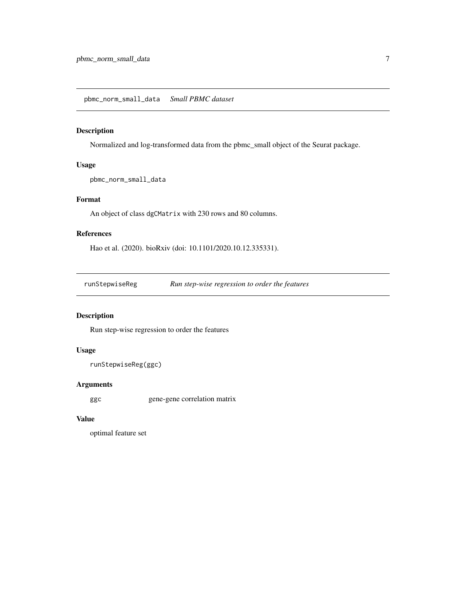#### <span id="page-6-0"></span>Description

Normalized and log-transformed data from the pbmc\_small object of the Seurat package.

#### Usage

pbmc\_norm\_small\_data

#### Format

An object of class dgCMatrix with 230 rows and 80 columns.

#### References

Hao et al. (2020). bioRxiv (doi: 10.1101/2020.10.12.335331).

runStepwiseReg *Run step-wise regression to order the features*

#### Description

Run step-wise regression to order the features

#### Usage

```
runStepwiseReg(ggc)
```
#### Arguments

ggc gene-gene correlation matrix

### Value

optimal feature set